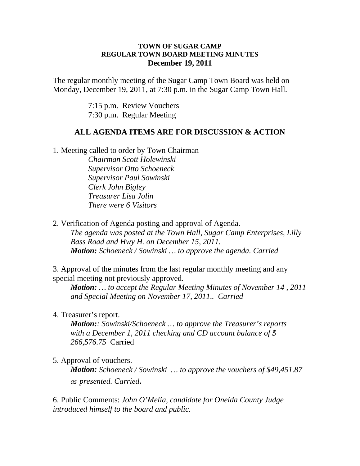## **TOWN OF SUGAR CAMP REGULAR TOWN BOARD MEETING MINUTES December 19, 2011**

The regular monthly meeting of the Sugar Camp Town Board was held on Monday, December 19, 2011, at 7:30 p.m. in the Sugar Camp Town Hall.

> 7:15 p.m. Review Vouchers 7:30 p.m. Regular Meeting

## **ALL AGENDA ITEMS ARE FOR DISCUSSION & ACTION**

1. Meeting called to order by Town Chairman

*Chairman Scott Holewinski Supervisor Otto Schoeneck Supervisor Paul Sowinski Clerk John Bigley Treasurer Lisa Jolin There were 6 Visitors*

2. Verification of Agenda posting and approval of Agenda. *The agenda was posted at the Town Hall, Sugar Camp Enterprises, Lilly Bass Road and Hwy H. on December 15, 2011. Motion: Schoeneck / Sowinski … to approve the agenda. Carried*

3. Approval of the minutes from the last regular monthly meeting and any special meeting not previously approved.

*Motion: … to accept the Regular Meeting Minutes of November 14 , 2011 and Special Meeting on November 17, 2011.. Carried*

4. Treasurer's report.

*Motion:: Sowinski/Schoeneck … to approve the Treasurer's reports with a December 1, 2011 checking and CD account balance of \$ 266,576.75* Carried

5. Approval of vouchers.

*Motion: Schoeneck / Sowinski … to approve the vouchers of \$49,451.87 as presented. Carried.*

6. Public Comments: *John O'Melia, candidate for Oneida County Judge introduced himself to the board and public.*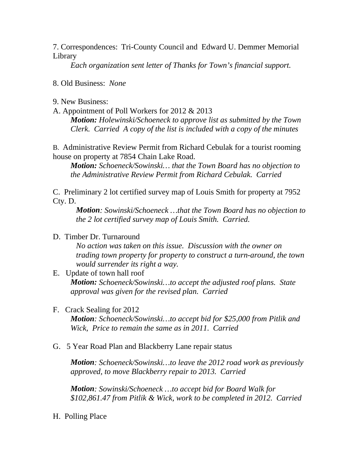7. Correspondences: Tri-County Council and Edward U. Demmer Memorial Library

*Each organization sent letter of Thanks for Town's financial support.*

8. Old Business: *None*

9. New Business:

A. Appointment of Poll Workers for 2012 & 2013

*Motion: Holewinski/Schoeneck to approve list as submitted by the Town Clerk. Carried A copy of the list is included with a copy of the minutes*

B. Administrative Review Permit from Richard Cebulak for a tourist rooming house on property at 7854 Chain Lake Road.

*Motion: Schoeneck/Sowinski… that the Town Board has no objection to the Administrative Review Permit from Richard Cebulak. Carried*

C. Preliminary 2 lot certified survey map of Louis Smith for property at 7952 Cty. D.

*Motion: Sowinski/Schoeneck …that the Town Board has no objection to the 2 lot certified survey map of Louis Smith. Carried.*

## D. Timber Dr. Turnaround

*No action was taken on this issue. Discussion with the owner on trading town property for property to construct a turn-around, the town would surrender its right a way.*

- E. Update of town hall roof *Motion: Schoeneck/Sowinski…to accept the adjusted roof plans. State approval was given for the revised plan. Carried*
- F. Crack Sealing for 2012

*Motion: Schoeneck/Sowinski…to accept bid for \$25,000 from Pitlik and Wick, Price to remain the same as in 2011. Carried*

## G. 5 Year Road Plan and Blackberry Lane repair status

*Motion: Schoeneck/Sowinski…to leave the 2012 road work as previously approved, to move Blackberry repair to 2013. Carried*

*Motion: Sowinski/Schoeneck …to accept bid for Board Walk for \$102,861.47 from Pitlik & Wick, work to be completed in 2012. Carried*

H. Polling Place